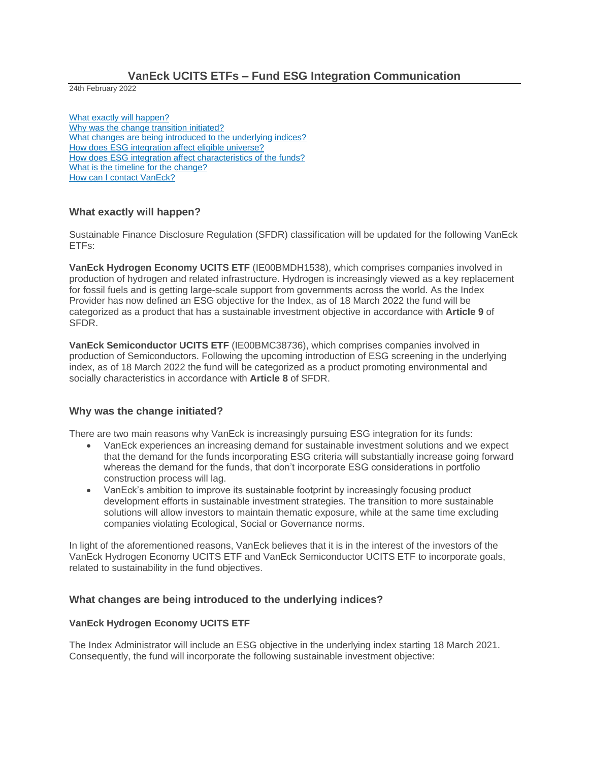# **VanEck UCITS ETFs – Fund ESG Integration Communication**

24th February 2022

What exactly will happen? Why was the change transition initiated? What changes are being introduced to the underlying indices? How does ESG integration affect eligible universe? How does ESG integration affect characteristics of the funds? What is the timeline for the change? How can I contact VanEck?

### **What exactly will happen?**

Sustainable Finance Disclosure Regulation (SFDR) classification will be updated for the following VanEck ETFs:

**VanEck Hydrogen Economy UCITS ETF** (IE00BMDH1538), which comprises companies involved in production of hydrogen and related infrastructure. Hydrogen is increasingly viewed as a key replacement for fossil fuels and is getting large-scale support from governments across the world. As the Index Provider has now defined an ESG objective for the Index, as of 18 March 2022 the fund will be categorized as a product that has a sustainable investment objective in accordance with **Article 9** of SFDR.

**VanEck Semiconductor UCITS ETF** (IE00BMC38736), which comprises companies involved in production of Semiconductors. Following the upcoming introduction of ESG screening in the underlying index, as of 18 March 2022 the fund will be categorized as a product promoting environmental and socially characteristics in accordance with **Article 8** of SFDR.

# **Why was the change initiated?**

There are two main reasons why VanEck is increasingly pursuing ESG integration for its funds:

- VanEck experiences an increasing demand for sustainable investment solutions and we expect that the demand for the funds incorporating ESG criteria will substantially increase going forward whereas the demand for the funds, that don't incorporate ESG considerations in portfolio construction process will lag.
- VanEck's ambition to improve its sustainable footprint by increasingly focusing product development efforts in sustainable investment strategies. The transition to more sustainable solutions will allow investors to maintain thematic exposure, while at the same time excluding companies violating Ecological, Social or Governance norms.

In light of the aforementioned reasons, VanEck believes that it is in the interest of the investors of the VanEck Hydrogen Economy UCITS ETF and VanEck Semiconductor UCITS ETF to incorporate goals, related to sustainability in the fund objectives.

# **What changes are being introduced to the underlying indices?**

#### **VanEck Hydrogen Economy UCITS ETF**

The Index Administrator will include an ESG objective in the underlying index starting 18 March 2021. Consequently, the fund will incorporate the following sustainable investment objective: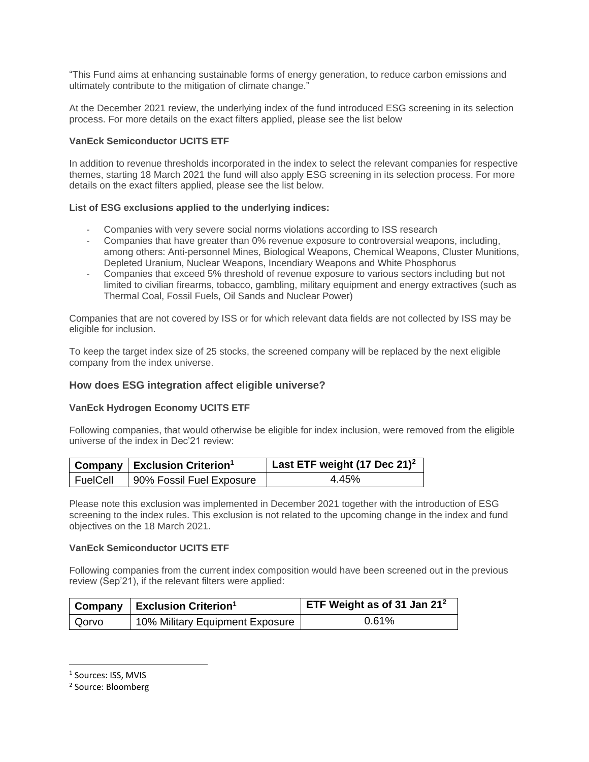"This Fund aims at enhancing sustainable forms of energy generation, to reduce carbon emissions and ultimately contribute to the mitigation of climate change."

At the December 2021 review, the underlying index of the fund introduced ESG screening in its selection process. For more details on the exact filters applied, please see the list below

### **VanEck Semiconductor UCITS ETF**

In addition to revenue thresholds incorporated in the index to select the relevant companies for respective themes, starting 18 March 2021 the fund will also apply ESG screening in its selection process. For more details on the exact filters applied, please see the list below.

### **List of ESG exclusions applied to the underlying indices:**

- Companies with very severe social norms violations according to ISS research
- Companies that have greater than 0% revenue exposure to controversial weapons, including, among others: Anti-personnel Mines, Biological Weapons, Chemical Weapons, Cluster Munitions, Depleted Uranium, Nuclear Weapons, Incendiary Weapons and White Phosphorus
- Companies that exceed 5% threshold of revenue exposure to various sectors including but not limited to civilian firearms, tobacco, gambling, military equipment and energy extractives (such as Thermal Coal, Fossil Fuels, Oil Sands and Nuclear Power)

Companies that are not covered by ISS or for which relevant data fields are not collected by ISS may be eligible for inclusion.

To keep the target index size of 25 stocks, the screened company will be replaced by the next eligible company from the index universe.

# **How does ESG integration affect eligible universe?**

#### **VanEck Hydrogen Economy UCITS ETF**

Following companies, that would otherwise be eligible for index inclusion, were removed from the eligible universe of the index in Dec'21 review:

<span id="page-1-1"></span><span id="page-1-0"></span>

|                       | $\vert$ Company $\vert$ Exclusion Criterion <sup>1</sup> | $\frac{1}{2}$ Last ETF weight (17 Dec 21) <sup>2</sup> |
|-----------------------|----------------------------------------------------------|--------------------------------------------------------|
| <sup>I</sup> FuelCell | 90% Fossil Fuel Exposure                                 | 4.45%                                                  |

Please note this exclusion was implemented in December 2021 together with the introduction of ESG screening to the index rules. This exclusion is not related to the upcoming change in the index and fund objectives on the 18 March 2021.

#### **VanEck Semiconductor UCITS ETF**

Following companies from the current index composition would have been screened out in the previous review (Sep'21), if the relevant filters were applied:

|       | Company   Exclusion Criterion <sup>1</sup> | <b>ETF Weight as of 31 Jan 21<sup>2</sup></b> |
|-------|--------------------------------------------|-----------------------------------------------|
| Qorvo | 10% Military Equipment Exposure            | 0.61%                                         |

<sup>1</sup> Sources: ISS, MVIS

 $\overline{\phantom{a}}$ 

<sup>2</sup> Source: Bloomberg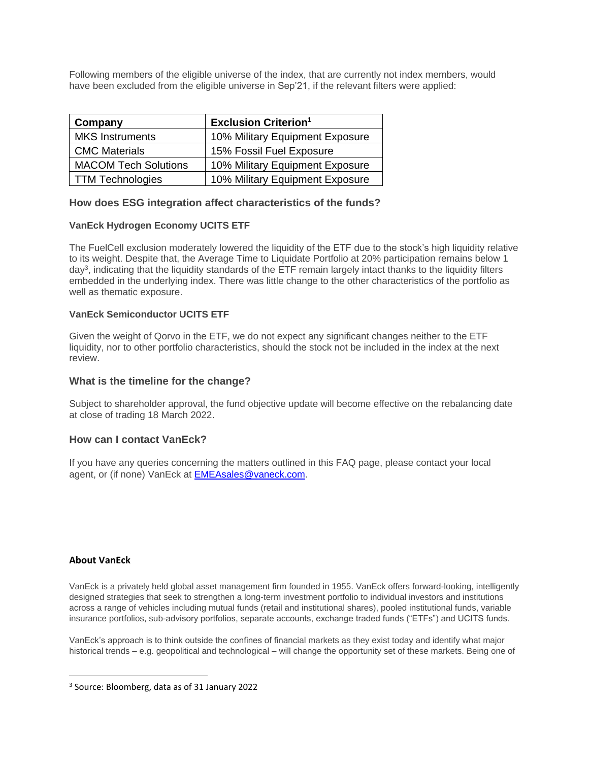Following members of the eligible universe of the index, that are currently not index members, would have been excluded from the eligible universe in Sep'21, if the relevant filters were applied:

| Company                     | <b>Exclusion Criterion<sup>1</sup></b> |
|-----------------------------|----------------------------------------|
| <b>MKS Instruments</b>      | 10% Military Equipment Exposure        |
| <b>CMC Materials</b>        | 15% Fossil Fuel Exposure               |
| <b>MACOM Tech Solutions</b> | 10% Military Equipment Exposure        |
| TTM Technologies            | 10% Military Equipment Exposure        |

# **How does ESG integration affect characteristics of the funds?**

# **VanEck Hydrogen Economy UCITS ETF**

The FuelCell exclusion moderately lowered the liquidity of the ETF due to the stock's high liquidity relative to its weight. Despite that, the Average Time to Liquidate Portfolio at 20% participation remains below 1 day<sup>3</sup>, indicating that the liquidity standards of the ETF remain largely intact thanks to the liquidity filters embedded in the underlying index. There was little change to the other characteristics of the portfolio as well as thematic exposure.

# **VanEck Semiconductor UCITS ETF**

Given the weight of Qorvo in the ETF, we do not expect any significant changes neither to the ETF liquidity, nor to other portfolio characteristics, should the stock not be included in the index at the next review.

# **What is the timeline for the change?**

Subject to shareholder approval, the fund objective update will become effective on the rebalancing date at close of trading 18 March 2022.

# **How can I contact VanEck?**

If you have any queries concerning the matters outlined in this FAQ page, please contact your local agent, or (if none) VanEck at [EMEAsales@vaneck.com.](mailto:EMEAsales@vaneck.com)

# **About VanEck**

 $\overline{a}$ 

VanEck is a privately held global asset management firm founded in 1955. VanEck offers forward-looking, intelligently designed strategies that seek to strengthen a long-term investment portfolio to individual investors and institutions across a range of vehicles including mutual funds (retail and institutional shares), pooled institutional funds, variable insurance portfolios, sub-advisory portfolios, separate accounts, exchange traded funds ("ETFs") and UCITS funds.

VanEck's approach is to think outside the confines of financial markets as they exist today and identify what major historical trends – e.g. geopolitical and technological – will change the opportunity set of these markets. Being one of

<sup>3</sup> Source: Bloomberg, data as of 31 January 2022